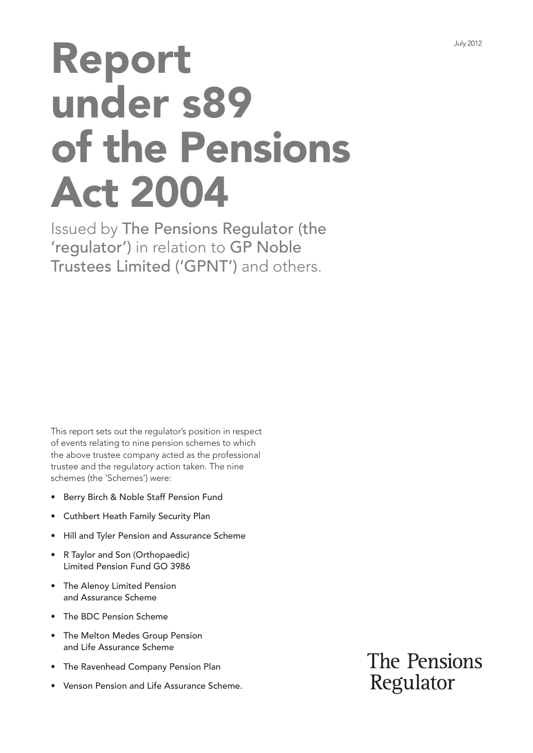# Report under s89 of the Pensions Act 2004

Issued by The Pensions Regulator (the 'regulator') in relation to GP Noble Trustees Limited ('GPNT') and others.

This report sets out the regulator's position in respect of events relating to nine pension schemes to which the above trustee company acted as the professional trustee and the regulatory action taken. The nine schemes (the 'Schemes') were:

- • Berry Birch & Noble Staff Pension Fund
- **Cuthbert Heath Family Security Plan**
- • Hill and Tyler Pension and Assurance Scheme
- R Taylor and Son (Orthopaedic) Limited Pension Fund GO 3986
- The Alenoy Limited Pension and Assurance Scheme
- The BDC Pension Scheme
- The Melton Medes Group Pension and Life Assurance Scheme
- The Ravenhead Company Pension Plan
- Venson Pension and Life Assurance Scheme.

The Pensions Regulator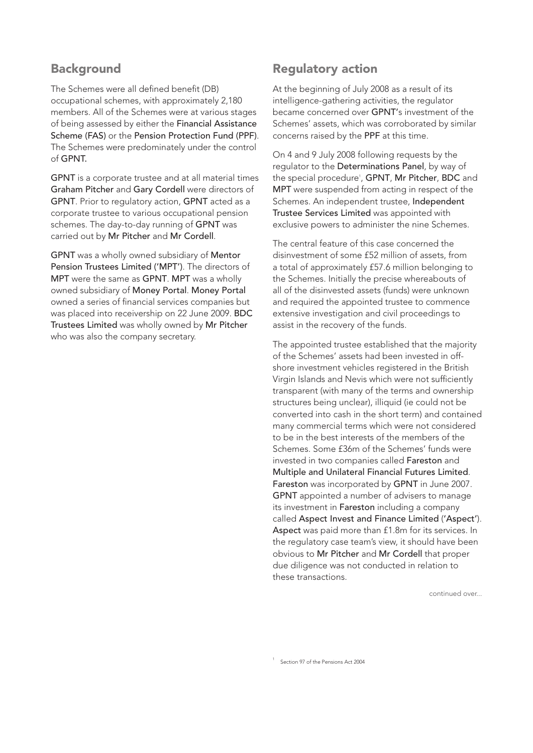## **Background**

The Schemes were all defined benefit (DB) occupational schemes, with approximately 2,180 members. All of the Schemes were at various stages of being assessed by either the Financial Assistance Scheme (FAS) or the Pension Protection Fund (PPF). The Schemes were predominately under the control of GPNT.

GPNT is a corporate trustee and at all material times Graham Pitcher and Gary Cordell were directors of GPNT. Prior to regulatory action, GPNT acted as a corporate trustee to various occupational pension schemes. The day-to-day running of GPNT was carried out by Mr Pitcher and Mr Cordell.

GPNT was a wholly owned subsidiary of Mentor Pension Trustees Limited ('MPT'). The directors of MPT were the same as GPNT. MPT was a wholly owned subsidiary of Money Portal. Money Portal owned a series of financial services companies but was placed into receivership on 22 June 2009. BDC Trustees Limited was wholly owned by Mr Pitcher who was also the company secretary.

# Regulatory action

At the beginning of July 2008 as a result of its intelligence-gathering activities, the regulator became concerned over GPNT's investment of the Schemes' assets, which was corroborated by similar concerns raised by the PPF at this time.

On 4 and 9 July 2008 following requests by the regulator to the Determinations Panel, by way of the special procedure<sup>1</sup>, GPNT, Mr Pitcher, BDC and MPT were suspended from acting in respect of the Schemes. An independent trustee, Independent Trustee Services Limited was appointed with exclusive powers to administer the nine Schemes.

The central feature of this case concerned the disinvestment of some £52 million of assets, from a total of approximately £57.6 million belonging to the Schemes. Initially the precise whereabouts of all of the disinvested assets (funds) were unknown and required the appointed trustee to commence extensive investigation and civil proceedings to assist in the recovery of the funds.

The appointed trustee established that the majority of the Schemes' assets had been invested in offshore investment vehicles registered in the British Virgin Islands and Nevis which were not sufficiently transparent (with many of the terms and ownership structures being unclear), illiquid (ie could not be converted into cash in the short term) and contained many commercial terms which were not considered to be in the best interests of the members of the Schemes. Some £36m of the Schemes' funds were invested in two companies called Fareston and Multiple and Unilateral Financial Futures Limited. Fareston was incorporated by GPNT in June 2007. GPNT appointed a number of advisers to manage its investment in Fareston including a company called Aspect Invest and Finance Limited ('Aspect'). Aspect was paid more than £1.8m for its services. In the regulatory case team's view, it should have been obvious to Mr Pitcher and Mr Cordell that proper due diligence was not conducted in relation to these transactions.

continued over...

1 Section 97 of the Pensions Act 2004